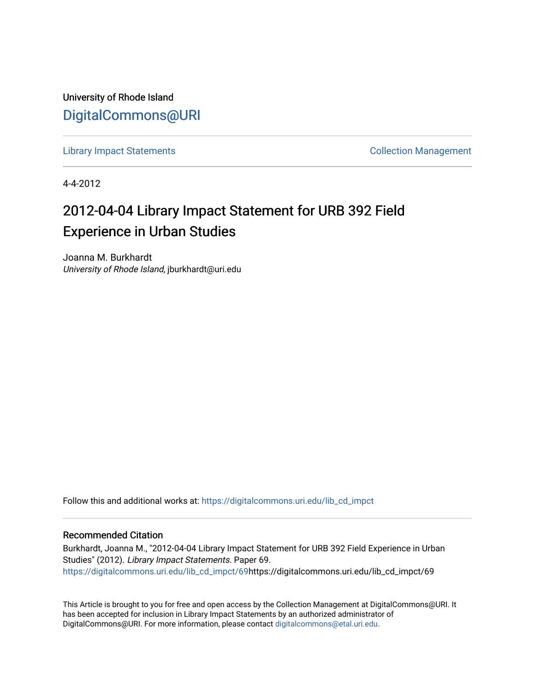University of Rhode Island [DigitalCommons@URI](https://digitalcommons.uri.edu/) 

[Library Impact Statements](https://digitalcommons.uri.edu/lib_cd_impct) **Collection Management** 

4-4-2012

## 2012-04-04 Library Impact Statement for URB 392 Field Experience in Urban Studies

Joanna M. Burkhardt University of Rhode Island, jburkhardt@uri.edu

Follow this and additional works at: [https://digitalcommons.uri.edu/lib\\_cd\\_impct](https://digitalcommons.uri.edu/lib_cd_impct?utm_source=digitalcommons.uri.edu%2Flib_cd_impct%2F69&utm_medium=PDF&utm_campaign=PDFCoverPages) 

## Recommended Citation

Burkhardt, Joanna M., "2012-04-04 Library Impact Statement for URB 392 Field Experience in Urban Studies" (2012). Library Impact Statements. Paper 69. [https://digitalcommons.uri.edu/lib\\_cd\\_impct/69h](https://digitalcommons.uri.edu/lib_cd_impct/69?utm_source=digitalcommons.uri.edu%2Flib_cd_impct%2F69&utm_medium=PDF&utm_campaign=PDFCoverPages)ttps://digitalcommons.uri.edu/lib\_cd\_impct/69

This Article is brought to you for free and open access by the Collection Management at DigitalCommons@URI. It has been accepted for inclusion in Library Impact Statements by an authorized administrator of DigitalCommons@URI. For more information, please contact [digitalcommons@etal.uri.edu.](mailto:digitalcommons@etal.uri.edu)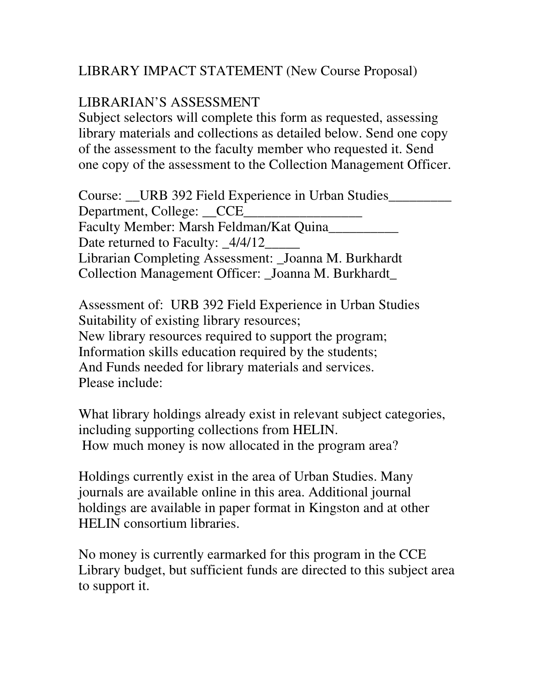## LIBRARY IMPACT STATEMENT (New Course Proposal)

## LIBRARIAN'S ASSESSMENT

Subject selectors will complete this form as requested, assessing library materials and collections as detailed below. Send one copy of the assessment to the faculty member who requested it. Send one copy of the assessment to the Collection Management Officer.

Course: \_\_URB 392 Field Experience in Urban Studies\_\_\_\_\_\_\_\_\_\_\_\_\_\_\_\_\_\_\_\_\_\_\_\_\_\_\_\_\_ Department, College: CCE Faculty Member: Marsh Feldman/Kat Quina\_\_\_\_\_\_\_\_\_\_ Date returned to Faculty: \_4/4/12\_ Librarian Completing Assessment: \_Joanna M. Burkhardt Collection Management Officer: \_Joanna M. Burkhardt\_

Assessment of: URB 392 Field Experience in Urban Studies Suitability of existing library resources; New library resources required to support the program; Information skills education required by the students; And Funds needed for library materials and services. Please include:

What library holdings already exist in relevant subject categories, including supporting collections from HELIN. How much money is now allocated in the program area?

Holdings currently exist in the area of Urban Studies. Many journals are available online in this area. Additional journal holdings are available in paper format in Kingston and at other HELIN consortium libraries.

No money is currently earmarked for this program in the CCE Library budget, but sufficient funds are directed to this subject area to support it.